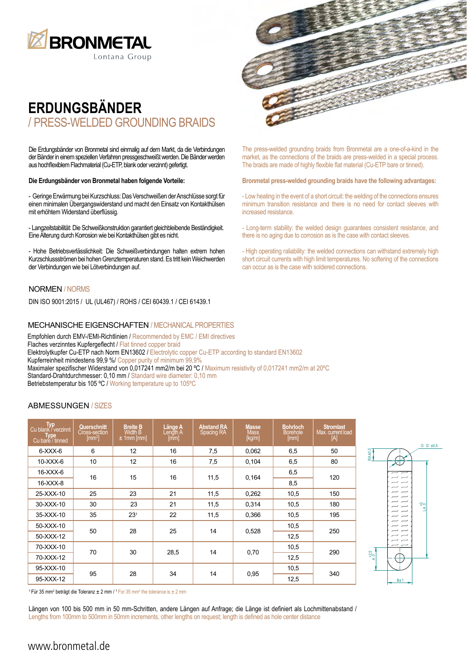

# **ERDUNGSBÄNDER** / PRESS-WELDED GROUNDING BRAIDS

Die Erdungsbänder von Bronmetal sind einmalig auf dem Markt, da die Verbindungen der Bänder in einem speziellen Verfahren pressgeschweißt werden. Die Bänder werden aus hochflexiblem Flachmaterial (Cu-ETP, blank oder verzinnt) gefertigt.

### **Die Erdungsbänder von Bronmetal haben folgende Vorteile:**

- Geringe Erwärmung bei Kurzschluss: Das Verschweißen der Anschlüsse sorgt für einen minimalen Übergangswiderstand und macht den Einsatz von Kontakthülsen mit erhöhtem Widerstand überflüssig.

- Langzeitstabilität: Die Schweißkonstruktion garantiert gleichbleibende Beständigkeit. Eine Alterung durch Korrosion wie bei Kontakthülsen gibt es nicht.

- Hohe Betriebsverlässlichkeit: Die Schweißverbindungen halten extrem hohen Kurzschlussströmen bei hohen Grenztemperaturen stand. Es tritt kein Weichwerden der Verbindungen wie bei Lötverbindungen auf.

## NORMEN / NORMS

DIN ISO 9001:2015 / UL (UL467) / ROHS / CEI 60439.1 / CEI 61439.1

### MECHANISCHE EIGENSCHAFTEN / MECHANICAL PROPERTIES

Empfohlen durch EMV-/EMI-Richtlinien / Recommended by EMC / EMI directives Flaches verzinntes Kupfergeflecht / Flat tinned copper braid Elektrolytkupfer Cu-ETP nach Norm EN13602 / Electrolytic copper Cu-ETP according to standard EN13602 Kupferreinheit mindestens 99,9 %/ Copper purity of minimum 99,9% Maximaler spezifischer Widerstand von 0,017241 mm2/m bei 20 ºC / Maximum resistivity of 0,017241 mm2/m at 20ºC Standard-Drahtdurchmesser: 0,10 mm / Standard wire diameter: 0,10 mm Betriebstemperatur bis 105 °C / Working temperature up to 105°C

### ABMESSUNGEN / SIZES

| Typ<br>Cu blank / verzinnt<br>Type<br>Cu bare / tinned | Querschnitt<br>Cross-section<br>$\mathsf{[mm^2]}$ | <b>Breite B</b><br><b>Width B</b><br>$\pm$ 1mm [mm] | Länge A<br>Length A<br>[mm] | <b>Abstand RA</b><br>Spacing RA | <b>Masse</b><br><b>Mass</b><br>[kg/m] | <b>Bohrloch</b><br><b>Borehole</b><br>[mm] | <b>Stromlast</b><br>Max. current load<br>[A] |
|--------------------------------------------------------|---------------------------------------------------|-----------------------------------------------------|-----------------------------|---------------------------------|---------------------------------------|--------------------------------------------|----------------------------------------------|
| $6-XXX-6$                                              | 6                                                 | 12 <sup>2</sup>                                     | 16                          | 7,5                             | 0,062                                 | 6,5                                        | 50                                           |
| $10-XXX-6$                                             | 10 <sup>°</sup>                                   | 12 <sup>2</sup>                                     | 16                          | 7,5                             | 0,104                                 | 6,5                                        | 80                                           |
| 16-XXX-6                                               | 16                                                | 15                                                  | 16                          | 11,5                            | 0,164                                 | 6,5                                        | 120                                          |
| 16-XXX-8                                               |                                                   |                                                     |                             |                                 |                                       | 8,5                                        |                                              |
| 25-XXX-10                                              | 25                                                | 23                                                  | 21                          | 11.5                            | 0,262                                 | 10,5                                       | 150                                          |
| 30-XXX-10                                              | 30                                                | 23                                                  | 21                          | 11,5                            | 0.314                                 | 10,5                                       | 180                                          |
| 35-XXX-10                                              | 35                                                | $23^{1}$                                            | 22                          | 11,5                            | 0,366                                 | 10,5                                       | 195                                          |
| 50-XXX-10                                              |                                                   | 28                                                  | 25                          | 14                              | 0,528                                 | 10,5                                       | 250                                          |
| 50-XXX-12                                              | 50                                                |                                                     |                             |                                 |                                       | 12,5                                       |                                              |
| 70-XXX-10                                              |                                                   | 30                                                  | 28,5                        | 14                              | 0,70                                  | 10,5                                       | 290                                          |
| 70-XXX-12                                              | 70                                                |                                                     |                             |                                 |                                       | 12.5                                       |                                              |
| 95-XXX-10                                              |                                                   | 28                                                  | 34                          | 14                              | 0,95                                  | 10,5                                       | 340                                          |
| 95-XXX-12                                              | 95                                                |                                                     |                             |                                 |                                       | 12.5                                       |                                              |



<sup>1</sup> Für 35 mm<sup>2</sup> beträgt die Toleranz  $\pm 2$  mm / <sup>1</sup> For 35 mm<sup>2</sup> the tolerance is  $\pm 2$  mm

Längen von 100 bis 500 mm in 50 mm-Schritten, andere Längen auf Anfrage; die Länge ist definiert als Lochmittenabstand / Lengths from 100mm to 500mm in 50mm increments, other lengths on request; length is defined as hole center distance



The press-welded grounding braids from Bronmetal are a one-of-a-kind in the market, as the connections of the braids are press-welded in a special process. The braids are made of highly flexible flat material (Cu-ETP bare or tinned).

#### **Bronmetal press-welded grounding braids have the following advantages:**

- Low heating in the event of a short circuit: the welding of the connections ensures minimum transition resistance and there is no need for contact sleeves with increased resistance.

- Long-term stability: the welded design guarantees consistent resistance, and there is no aging due to corrosion as is the case with contact sleeves.

- High operating raliability: the welded connections can withstand extremely high short circuit currents with high limit temperatures. No softering of the connections can occur as is the case with soldered connections.

## www.bronmetal.de